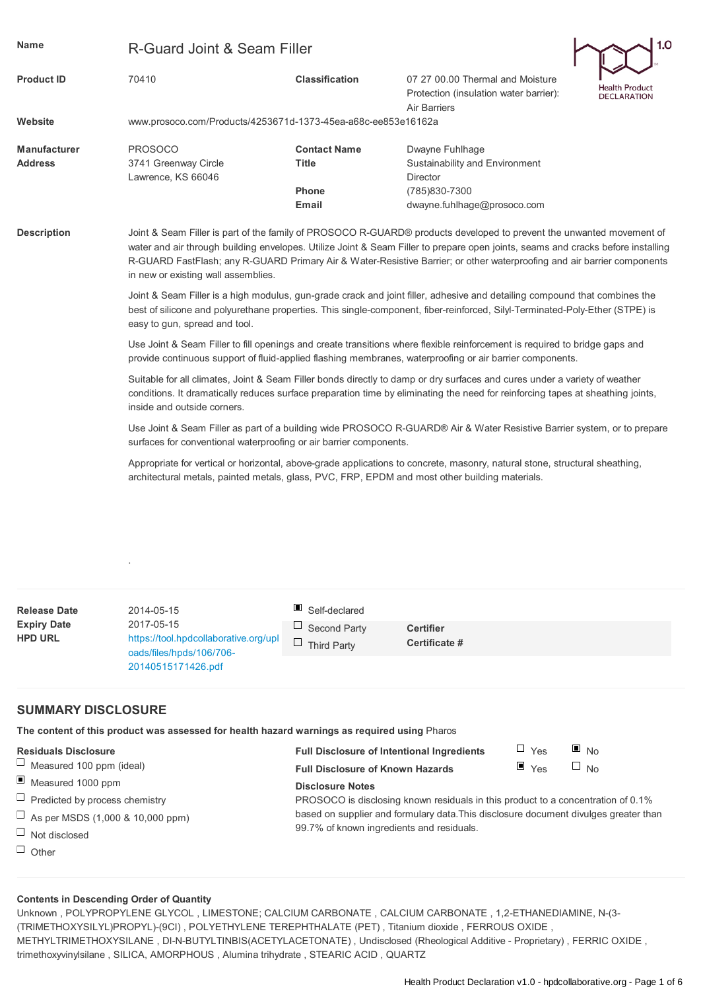| <b>Name</b>                           | 1.0<br>R-Guard Joint & Seam Filler                                                                                                                                                                                                                                                                                                                                                                                                                                                                                                                                                                                                                                                                                             |                                                                     |                                                                                                               |                                             |  |  |  |
|---------------------------------------|--------------------------------------------------------------------------------------------------------------------------------------------------------------------------------------------------------------------------------------------------------------------------------------------------------------------------------------------------------------------------------------------------------------------------------------------------------------------------------------------------------------------------------------------------------------------------------------------------------------------------------------------------------------------------------------------------------------------------------|---------------------------------------------------------------------|---------------------------------------------------------------------------------------------------------------|---------------------------------------------|--|--|--|
| <b>Product ID</b>                     | 70410                                                                                                                                                                                                                                                                                                                                                                                                                                                                                                                                                                                                                                                                                                                          | <b>Classification</b>                                               | 07 27 00.00 Thermal and Moisture<br>Protection (insulation water barrier):<br><b>Air Barriers</b>             | <b>Health Product</b><br><b>DECLARATION</b> |  |  |  |
| Website                               | www.prosoco.com/Products/4253671d-1373-45ea-a68c-ee853e16162a                                                                                                                                                                                                                                                                                                                                                                                                                                                                                                                                                                                                                                                                  |                                                                     |                                                                                                               |                                             |  |  |  |
| <b>Manufacturer</b><br><b>Address</b> | <b>PROSOCO</b><br>3741 Greenway Circle<br>Lawrence, KS 66046                                                                                                                                                                                                                                                                                                                                                                                                                                                                                                                                                                                                                                                                   | <b>Contact Name</b><br><b>Title</b><br><b>Phone</b><br><b>Email</b> | Dwayne Fuhlhage<br>Sustainability and Environment<br>Director<br>(785)830-7300<br>dwayne.fuhlhage@prosoco.com |                                             |  |  |  |
| <b>Description</b>                    | Joint & Seam Filler is part of the family of PROSOCO R-GUARD® products developed to prevent the unwanted movement of<br>water and air through building envelopes. Utilize Joint & Seam Filler to prepare open joints, seams and cracks before installing<br>R-GUARD FastFlash; any R-GUARD Primary Air & Water-Resistive Barrier; or other waterproofing and air barrier components<br>in new or existing wall assemblies.                                                                                                                                                                                                                                                                                                     |                                                                     |                                                                                                               |                                             |  |  |  |
|                                       | Joint & Seam Filler is a high modulus, gun-grade crack and joint filler, adhesive and detailing compound that combines the<br>best of silicone and polyurethane properties. This single-component, fiber-reinforced, Silyl-Terminated-Poly-Ether (STPE) is<br>easy to gun, spread and tool.                                                                                                                                                                                                                                                                                                                                                                                                                                    |                                                                     |                                                                                                               |                                             |  |  |  |
|                                       | Use Joint & Seam Filler to fill openings and create transitions where flexible reinforcement is required to bridge gaps and<br>provide continuous support of fluid-applied flashing membranes, waterproofing or air barrier components.                                                                                                                                                                                                                                                                                                                                                                                                                                                                                        |                                                                     |                                                                                                               |                                             |  |  |  |
|                                       | Suitable for all climates, Joint & Seam Filler bonds directly to damp or dry surfaces and cures under a variety of weather<br>conditions. It dramatically reduces surface preparation time by eliminating the need for reinforcing tapes at sheathing joints,<br>inside and outside corners.<br>Use Joint & Seam Filler as part of a building wide PROSOCO R-GUARD® Air & Water Resistive Barrier system, or to prepare<br>surfaces for conventional waterproofing or air barrier components.<br>Appropriate for vertical or horizontal, above-grade applications to concrete, masonry, natural stone, structural sheathing,<br>architectural metals, painted metals, glass, PVC, FRP, EPDM and most other building materials. |                                                                     |                                                                                                               |                                             |  |  |  |
|                                       |                                                                                                                                                                                                                                                                                                                                                                                                                                                                                                                                                                                                                                                                                                                                |                                                                     |                                                                                                               |                                             |  |  |  |
|                                       |                                                                                                                                                                                                                                                                                                                                                                                                                                                                                                                                                                                                                                                                                                                                |                                                                     |                                                                                                               |                                             |  |  |  |
|                                       |                                                                                                                                                                                                                                                                                                                                                                                                                                                                                                                                                                                                                                                                                                                                |                                                                     |                                                                                                               |                                             |  |  |  |

| <b>Release Date</b> | 2014-05-15                                                        | Self-declared       |                  |
|---------------------|-------------------------------------------------------------------|---------------------|------------------|
| <b>Expiry Date</b>  | 2017-05-15                                                        | $\Box$ Second Party | <b>Certifier</b> |
| <b>HPD URL</b>      | https://tool.hpdcollaborative.org/upl<br>oads/files/hpds/106/706- | $\Box$ Third Party  | Certificate #    |
|                     | 20140515171426.pdf                                                |                     |                  |

**Full Disclosure of Intentional Ingredients**  $\Box$  Yes  $\Box$  No Full Disclosure of Known Hazards **I** Yes  $\Box$  No

PROSOCO is disclosing known residuals in this product to a concentration of 0.1% based on supplier and formulary data.This disclosure document divulges greater than

## **SUMMARY DISCLOSURE**

.

**The content of this product was assessed for health hazard warnings as required using** Pharos

# **Residuals Disclosure**

- $\Box$  Measured 100 ppm (ideal)
- Measured 1000 ppm
- $\Box$  Predicted by process chemistry
- $\Box$  As per MSDS (1,000 & 10,000 ppm)
- $\Box$  Not disclosed
- $\Box$  Other

## **Contents in Descending Order of Quantity**

Unknown , POLYPROPYLENE GLYCOL , LIMESTONE; CALCIUM CARBONATE , CALCIUM CARBONATE , 1,2-ETHANEDIAMINE, N-(3- (TRIMETHOXYSILYL)PROPYL)-(9CI) , POLYETHYLENE TEREPHTHALATE (PET) , Titanium dioxide , FERROUS OXIDE , METHYLTRIMETHOXYSILANE , DI-N-BUTYLTINBIS(ACETYLACETONATE) , Undisclosed (Rheological Additive - Proprietary) , FERRIC OXIDE , trimethoxyvinylsilane , SILICA, AMORPHOUS , Alumina trihydrate , STEARIC ACID , QUARTZ

**Disclosure Notes**

99.7% of known ingredients and residuals.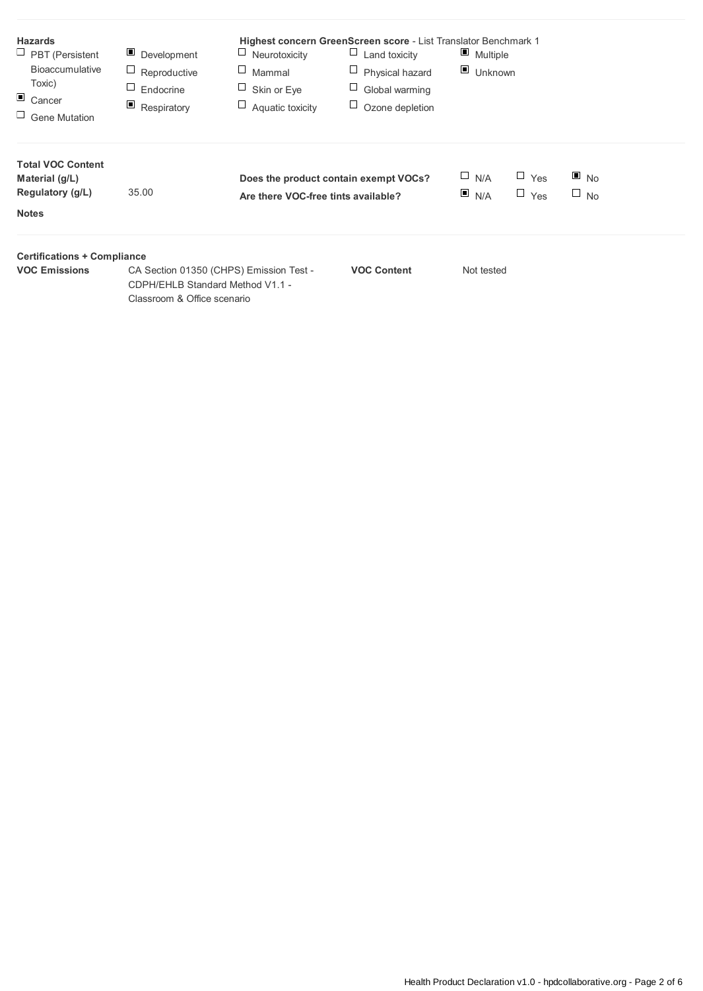| <b>Hazards</b><br>$\Box$ PBT (Persistent<br><b>Bioaccumulative</b><br>Toxic)<br>$\Box$ Cancer<br>$\Box$ Gene Mutation | $\Box$ Development<br>ப<br>Reproductive<br>Endocrine<br>$\blacksquare$ Respiratory                         | Neurotoxicity<br>ப<br>⊔<br>Mammal<br>⊔<br>Skin or Eye<br>Aquatic toxicity    | <b>Highest concern GreenScreen score - List Translator Benchmark 1</b><br>$\Box$<br>Land toxicity<br>$\Box$<br>Physical hazard<br>$\Box$<br>Global warming<br>$\Box$<br>Ozone depletion | $\blacksquare$ Multiple<br>$\blacksquare$ Unknown |                                |
|-----------------------------------------------------------------------------------------------------------------------|------------------------------------------------------------------------------------------------------------|------------------------------------------------------------------------------|-----------------------------------------------------------------------------------------------------------------------------------------------------------------------------------------|---------------------------------------------------|--------------------------------|
| <b>Total VOC Content</b><br>Material (g/L)<br>Regulatory (g/L)<br><b>Notes</b>                                        | 35.00                                                                                                      | Does the product contain exempt VOCs?<br>Are there VOC-free tints available? |                                                                                                                                                                                         | $\sqcup$ N/A<br>$\sqcup$ Yes<br>N/A<br>$\Box$ Yes | $\blacksquare$ No<br>$\Box$ No |
| <b>Certifications + Compliance</b><br><b>VOC Emissions</b>                                                            | CA Section 01350 (CHPS) Emission Test -<br>CDPH/EHLB Standard Method V1.1 -<br>Classroom & Office scenario |                                                                              | <b>VOC Content</b>                                                                                                                                                                      | Not tested                                        |                                |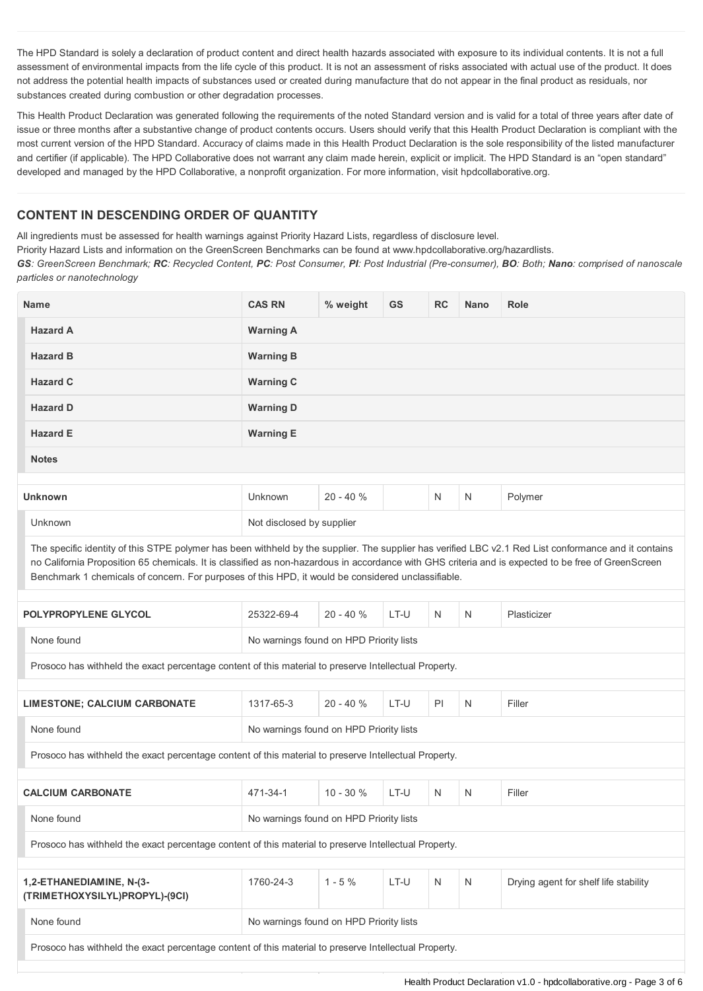The HPD Standard is solely a declaration of product content and direct health hazards associated with exposure to its individual contents. It is not a full assessment of environmental impacts from the life cycle of this product. It is not an assessment of risks associated with actual use of the product. It does not address the potential health impacts of substances used or created during manufacture that do not appear in the final product as residuals, nor substances created during combustion or other degradation processes.

This Health Product Declaration was generated following the requirements of the noted Standard version and is valid for a total of three years after date of issue or three months after a substantive change of product contents occurs. Users should verify that this Health Product Declaration is compliant with the most current version of the HPD Standard. Accuracy of claims made in this Health Product Declaration is the sole responsibility of the listed manufacturer and certifier (if applicable). The HPD Collaborative does not warrant any claim made herein, explicit or implicit. The HPD Standard is an "open standard" developed and managed by the HPD Collaborative, a nonprofit organization. For more information, visit hpdcollaborative.org.

### **CONTENT IN DESCENDING ORDER OF QUANTITY**

All ingredients must be assessed for health warnings against Priority Hazard Lists, regardless of disclosure level.

Priority Hazard Lists and information on the GreenScreen Benchmarks can be found at www.hpdcollaborative.org/hazardlists.

GS: GreenScreen Benchmark; RC: Recycled Content, PC: Post Consumer, PI: Post Industrial (Pre-consumer), BO: Both; Nano: comprised of nanoscale *particles or nanotechnology*

| <b>Name</b>                                                                                                                                                                                                                                                                                                                                                                                                        | <b>CAS RN</b>                           | % weight     | <b>GS</b> | <b>RC</b>    | <b>Nano</b>  | Role                                  |  |
|--------------------------------------------------------------------------------------------------------------------------------------------------------------------------------------------------------------------------------------------------------------------------------------------------------------------------------------------------------------------------------------------------------------------|-----------------------------------------|--------------|-----------|--------------|--------------|---------------------------------------|--|
| <b>Hazard A</b>                                                                                                                                                                                                                                                                                                                                                                                                    | <b>Warning A</b>                        |              |           |              |              |                                       |  |
| <b>Hazard B</b>                                                                                                                                                                                                                                                                                                                                                                                                    | <b>Warning B</b>                        |              |           |              |              |                                       |  |
| <b>Hazard C</b>                                                                                                                                                                                                                                                                                                                                                                                                    | <b>Warning C</b>                        |              |           |              |              |                                       |  |
| <b>Hazard D</b>                                                                                                                                                                                                                                                                                                                                                                                                    | <b>Warning D</b>                        |              |           |              |              |                                       |  |
| <b>Hazard E</b>                                                                                                                                                                                                                                                                                                                                                                                                    | <b>Warning E</b>                        |              |           |              |              |                                       |  |
| <b>Notes</b>                                                                                                                                                                                                                                                                                                                                                                                                       |                                         |              |           |              |              |                                       |  |
| <b>Unknown</b>                                                                                                                                                                                                                                                                                                                                                                                                     | Unknown                                 | $20 - 40%$   |           | N            | $\mathsf{N}$ | Polymer                               |  |
| Unknown                                                                                                                                                                                                                                                                                                                                                                                                            | Not disclosed by supplier               |              |           |              |              |                                       |  |
| The specific identity of this STPE polymer has been withheld by the supplier. The supplier has verified LBC v2.1 Red List conformance and it contains<br>no California Proposition 65 chemicals. It is classified as non-hazardous in accordance with GHS criteria and is expected to be free of GreenScreen<br>Benchmark 1 chemicals of concern. For purposes of this HPD, it would be considered unclassifiable. |                                         |              |           |              |              |                                       |  |
| <b>POLYPROPYLENE GLYCOL</b>                                                                                                                                                                                                                                                                                                                                                                                        | 25322-69-4                              | $20 - 40%$   | LT-U      | N            | N            | Plasticizer                           |  |
| None found                                                                                                                                                                                                                                                                                                                                                                                                         | No warnings found on HPD Priority lists |              |           |              |              |                                       |  |
| Prosoco has withheld the exact percentage content of this material to preserve Intellectual Property.                                                                                                                                                                                                                                                                                                              |                                         |              |           |              |              |                                       |  |
|                                                                                                                                                                                                                                                                                                                                                                                                                    |                                         |              |           |              |              |                                       |  |
| LIMESTONE; CALCIUM CARBONATE                                                                                                                                                                                                                                                                                                                                                                                       | 1317-65-3                               | $20 - 40%$   | LT-U      | PI           | N            | Filler                                |  |
| None found                                                                                                                                                                                                                                                                                                                                                                                                         | No warnings found on HPD Priority lists |              |           |              |              |                                       |  |
| Prosoco has withheld the exact percentage content of this material to preserve Intellectual Property.                                                                                                                                                                                                                                                                                                              |                                         |              |           |              |              |                                       |  |
|                                                                                                                                                                                                                                                                                                                                                                                                                    |                                         |              |           |              |              |                                       |  |
| <b>CALCIUM CARBONATE</b>                                                                                                                                                                                                                                                                                                                                                                                           | 471-34-1                                | $10 - 30 \%$ | LT-U      | N            | N            | Filler                                |  |
| No warnings found on HPD Priority lists<br>None found                                                                                                                                                                                                                                                                                                                                                              |                                         |              |           |              |              |                                       |  |
| Prosoco has withheld the exact percentage content of this material to preserve Intellectual Property.                                                                                                                                                                                                                                                                                                              |                                         |              |           |              |              |                                       |  |
| 1,2-ETHANEDIAMINE, N-(3-<br>(TRIMETHOXYSILYL)PROPYL)-(9CI)                                                                                                                                                                                                                                                                                                                                                         | 1760-24-3                               | $1 - 5%$     | LT-U      | $\mathsf{N}$ | N            | Drying agent for shelf life stability |  |
| None found                                                                                                                                                                                                                                                                                                                                                                                                         | No warnings found on HPD Priority lists |              |           |              |              |                                       |  |
| Prosoco has withheld the exact percentage content of this material to preserve Intellectual Property.                                                                                                                                                                                                                                                                                                              |                                         |              |           |              |              |                                       |  |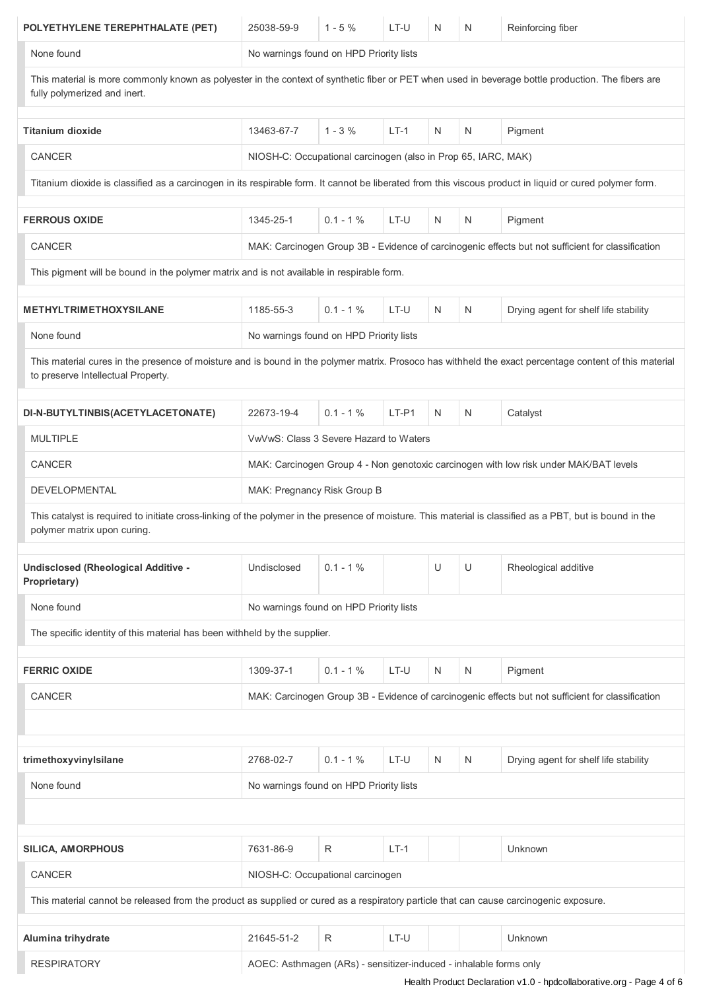| POLYETHYLENE TEREPHTHALATE (PET)                                                                                                                                                             | 25038-59-9                                                                                        | $1 - 5%$                                                                                          | LT-U    | N  | N            | Reinforcing fiber                     |  |
|----------------------------------------------------------------------------------------------------------------------------------------------------------------------------------------------|---------------------------------------------------------------------------------------------------|---------------------------------------------------------------------------------------------------|---------|----|--------------|---------------------------------------|--|
| None found                                                                                                                                                                                   | No warnings found on HPD Priority lists                                                           |                                                                                                   |         |    |              |                                       |  |
| This material is more commonly known as polyester in the context of synthetic fiber or PET when used in beverage bottle production. The fibers are<br>fully polymerized and inert.           |                                                                                                   |                                                                                                   |         |    |              |                                       |  |
| <b>Titanium dioxide</b>                                                                                                                                                                      | 13463-67-7                                                                                        | $1 - 3 \%$                                                                                        | $LT-1$  | N  | $\mathsf{N}$ | Pigment                               |  |
| <b>CANCER</b>                                                                                                                                                                                | NIOSH-C: Occupational carcinogen (also in Prop 65, IARC, MAK)                                     |                                                                                                   |         |    |              |                                       |  |
| Titanium dioxide is classified as a carcinogen in its respirable form. It cannot be liberated from this viscous product in liquid or cured polymer form.                                     |                                                                                                   |                                                                                                   |         |    |              |                                       |  |
| <b>FERROUS OXIDE</b>                                                                                                                                                                         | 1345-25-1                                                                                         | $0.1 - 1%$                                                                                        | LT-U    | N. | N            | Pigment                               |  |
| <b>CANCER</b>                                                                                                                                                                                |                                                                                                   | MAK: Carcinogen Group 3B - Evidence of carcinogenic effects but not sufficient for classification |         |    |              |                                       |  |
| This pigment will be bound in the polymer matrix and is not available in respirable form.                                                                                                    |                                                                                                   |                                                                                                   |         |    |              |                                       |  |
| <b>METHYLTRIMETHOXYSILANE</b>                                                                                                                                                                | 1185-55-3                                                                                         | $0.1 - 1%$                                                                                        | LT-U    | N. | $\mathsf{N}$ | Drying agent for shelf life stability |  |
| None found                                                                                                                                                                                   | No warnings found on HPD Priority lists                                                           |                                                                                                   |         |    |              |                                       |  |
| This material cures in the presence of moisture and is bound in the polymer matrix. Prosoco has withheld the exact percentage content of this material<br>to preserve Intellectual Property. |                                                                                                   |                                                                                                   |         |    |              |                                       |  |
| DI-N-BUTYLTINBIS(ACETYLACETONATE)                                                                                                                                                            | 22673-19-4                                                                                        | $0.1 - 1%$                                                                                        | $LT-P1$ | N  | N            | Catalyst                              |  |
| <b>MULTIPLE</b>                                                                                                                                                                              | VwVwS: Class 3 Severe Hazard to Waters                                                            |                                                                                                   |         |    |              |                                       |  |
| <b>CANCER</b>                                                                                                                                                                                | MAK: Carcinogen Group 4 - Non genotoxic carcinogen with low risk under MAK/BAT levels             |                                                                                                   |         |    |              |                                       |  |
| DEVELOPMENTAL<br>MAK: Pregnancy Risk Group B                                                                                                                                                 |                                                                                                   |                                                                                                   |         |    |              |                                       |  |
| This catalyst is required to initiate cross-linking of the polymer in the presence of moisture. This material is classified as a PBT, but is bound in the<br>polymer matrix upon curing.     |                                                                                                   |                                                                                                   |         |    |              |                                       |  |
| Undisclosed (Rheological Additive -<br>Proprietary)                                                                                                                                          | Undisclosed                                                                                       | $0.1 - 1\%$                                                                                       |         | U  | U            | Rheological additive                  |  |
| None found<br>No warnings found on HPD Priority lists                                                                                                                                        |                                                                                                   |                                                                                                   |         |    |              |                                       |  |
| The specific identity of this material has been withheld by the supplier.                                                                                                                    |                                                                                                   |                                                                                                   |         |    |              |                                       |  |
| <b>FERRIC OXIDE</b>                                                                                                                                                                          | 1309-37-1                                                                                         | $0.1 - 1%$                                                                                        | LT-U    | N  | $\mathsf{N}$ | Pigment                               |  |
| <b>CANCER</b>                                                                                                                                                                                | MAK: Carcinogen Group 3B - Evidence of carcinogenic effects but not sufficient for classification |                                                                                                   |         |    |              |                                       |  |
|                                                                                                                                                                                              |                                                                                                   |                                                                                                   |         |    |              |                                       |  |
|                                                                                                                                                                                              | 2768-02-7                                                                                         | $0.1 - 1%$                                                                                        | LT-U    | N. | N            |                                       |  |
| trimethoxyvinylsilane                                                                                                                                                                        |                                                                                                   |                                                                                                   |         |    |              | Drying agent for shelf life stability |  |
| None found<br>No warnings found on HPD Priority lists                                                                                                                                        |                                                                                                   |                                                                                                   |         |    |              |                                       |  |
|                                                                                                                                                                                              |                                                                                                   |                                                                                                   |         |    |              |                                       |  |
| <b>SILICA, AMORPHOUS</b>                                                                                                                                                                     | 7631-86-9                                                                                         | R                                                                                                 | $LT-1$  |    |              | Unknown                               |  |
| <b>CANCER</b><br>NIOSH-C: Occupational carcinogen                                                                                                                                            |                                                                                                   |                                                                                                   |         |    |              |                                       |  |
| This material cannot be released from the product as supplied or cured as a respiratory particle that can cause carcinogenic exposure.                                                       |                                                                                                   |                                                                                                   |         |    |              |                                       |  |
| Alumina trihydrate                                                                                                                                                                           | 21645-51-2                                                                                        | R                                                                                                 | LT-U    |    |              | Unknown                               |  |
| <b>RESPIRATORY</b>                                                                                                                                                                           | AOEC: Asthmagen (ARs) - sensitizer-induced - inhalable forms only                                 |                                                                                                   |         |    |              |                                       |  |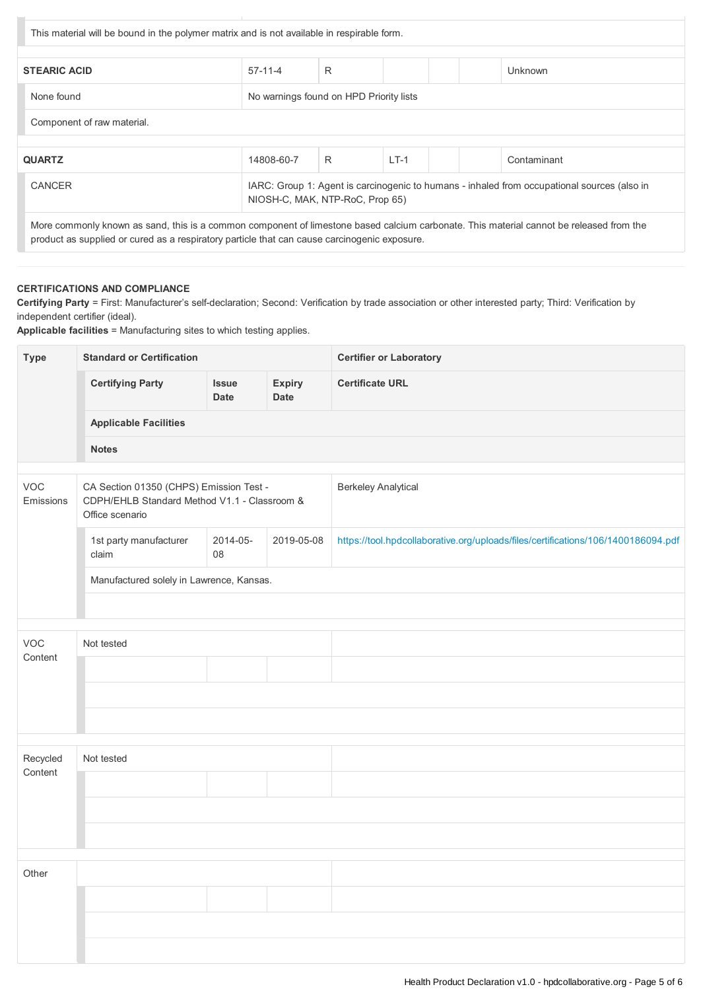This material will be bound in the polymer matrix and is not available in respirable form. **STEARIC ACID** 57-11-4 R Unknown None found No warnings found on HPD Priority lists Component of raw material. **QUARTZ 14808-60-7** R LT-1 Contaminant CANCER **IARC:** Group 1: Agent is carcinogenic to humans - inhaled from occupational sources (also in NIOSH-C, MAK, NTP-RoC, Prop 65) More commonly known as sand, this is a common component of limestone based calcium carbonate. This material cannot be released from the

### **CERTIFICATIONS AND COMPLIANCE**

**Certifying Party** = First: Manufacturer's self-declaration; Second: Verification by trade association or other interested party; Third: Verification by independent certifier (ideal).

**Applicable facilities** = Manufacturing sites to which testing applies.

product as supplied or cured as a respiratory particle that can cause carcinogenic exposure.

| <b>Type</b>         | <b>Standard or Certification</b>                                                                           |                             |                              | <b>Certifier or Laboratory</b>                                                    |  |  |  |
|---------------------|------------------------------------------------------------------------------------------------------------|-----------------------------|------------------------------|-----------------------------------------------------------------------------------|--|--|--|
|                     | <b>Certifying Party</b>                                                                                    | <b>Issue</b><br><b>Date</b> | <b>Expiry</b><br><b>Date</b> | <b>Certificate URL</b>                                                            |  |  |  |
|                     | <b>Applicable Facilities</b>                                                                               |                             |                              |                                                                                   |  |  |  |
|                     | <b>Notes</b>                                                                                               |                             |                              |                                                                                   |  |  |  |
| VOC<br>Emissions    | CA Section 01350 (CHPS) Emission Test -<br>CDPH/EHLB Standard Method V1.1 - Classroom &<br>Office scenario |                             |                              | <b>Berkeley Analytical</b>                                                        |  |  |  |
|                     | 1st party manufacturer<br>claim                                                                            | 2014-05-<br>08              | 2019-05-08                   | https://tool.hpdcollaborative.org/uploads/files/certifications/106/1400186094.pdf |  |  |  |
|                     | Manufactured solely in Lawrence, Kansas.                                                                   |                             |                              |                                                                                   |  |  |  |
|                     |                                                                                                            |                             |                              |                                                                                   |  |  |  |
| VOC                 | Not tested                                                                                                 |                             |                              |                                                                                   |  |  |  |
| Content             |                                                                                                            |                             |                              |                                                                                   |  |  |  |
|                     |                                                                                                            |                             |                              |                                                                                   |  |  |  |
|                     |                                                                                                            |                             |                              |                                                                                   |  |  |  |
|                     |                                                                                                            |                             |                              |                                                                                   |  |  |  |
|                     |                                                                                                            |                             |                              |                                                                                   |  |  |  |
| Recycled<br>Content | Not tested                                                                                                 |                             |                              |                                                                                   |  |  |  |
|                     |                                                                                                            |                             |                              |                                                                                   |  |  |  |
|                     |                                                                                                            |                             |                              |                                                                                   |  |  |  |
|                     |                                                                                                            |                             |                              |                                                                                   |  |  |  |
|                     |                                                                                                            |                             |                              |                                                                                   |  |  |  |
| Other               |                                                                                                            |                             |                              |                                                                                   |  |  |  |
|                     |                                                                                                            |                             |                              |                                                                                   |  |  |  |
|                     |                                                                                                            |                             |                              |                                                                                   |  |  |  |
|                     |                                                                                                            |                             |                              |                                                                                   |  |  |  |